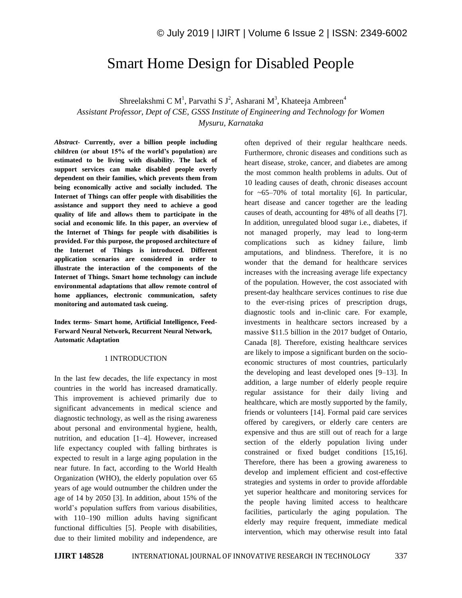# Smart Home Design for Disabled People

Shreelakshmi C M<sup>1</sup>, Parvathi S J<sup>2</sup>, Asharani M<sup>3</sup>, Khateeja Ambreen<sup>4</sup>

*Assistant Professor, Dept of CSE, GSSS Institute of Engineering and Technology for Women Mysuru, Karnataka*

*Abstract*- **Currently, over a billion people including children (or about 15% of the world's population) are estimated to be living with disability. The lack of support services can make disabled people overly dependent on their families, which prevents them from being economically active and socially included. The Internet of Things can offer people with disabilities the assistance and support they need to achieve a good quality of life and allows them to participate in the social and economic life. In this paper, an overview of the Internet of Things for people with disabilities is provided. For this purpose, the proposed architecture of the Internet of Things is introduced. Different application scenarios are considered in order to illustrate the interaction of the components of the Internet of Things. Smart home technology can include environmental adaptations that allow remote control of home appliances, electronic communication, safety monitoring and automated task cueing.**

**Index terms- Smart home, Artificial Intelligence, Feed-Forward Neural Network, Recurrent Neural Network, Automatic Adaptation**

#### 1 INTRODUCTION

In the last few decades, the life expectancy in most countries in the world has increased dramatically. This improvement is achieved primarily due to significant advancements in medical science and diagnostic technology, as well as the rising awareness about personal and environmental hygiene, health, nutrition, and education [1–4]. However, increased life expectancy coupled with falling birthrates is expected to result in a large aging population in the near future. In fact, according to the World Health Organization (WHO), the elderly population over 65 years of age would outnumber the children under the age of 14 by 2050 [3]. In addition, about 15% of the world's population suffers from various disabilities, with 110–190 million adults having significant functional difficulties [5]. People with disabilities, due to their limited mobility and independence, are

often deprived of their regular healthcare needs. Furthermore, chronic diseases and conditions such as heart disease, stroke, cancer, and diabetes are among the most common health problems in adults. Out of 10 leading causes of death, chronic diseases account for  $\sim 65-70\%$  of total mortality [6]. In particular, heart disease and cancer together are the leading causes of death, accounting for 48% of all deaths [7]. In addition, unregulated blood sugar i.e., diabetes, if not managed properly, may lead to long-term complications such as kidney failure, limb amputations, and blindness. Therefore, it is no wonder that the demand for healthcare services increases with the increasing average life expectancy of the population. However, the cost associated with present-day healthcare services continues to rise due to the ever-rising prices of prescription drugs, diagnostic tools and in-clinic care. For example, investments in healthcare sectors increased by a massive \$11.5 billion in the 2017 budget of Ontario, Canada [8]. Therefore, existing healthcare services are likely to impose a significant burden on the socioeconomic structures of most countries, particularly the developing and least developed ones [9–13]. In addition, a large number of elderly people require regular assistance for their daily living and healthcare, which are mostly supported by the family, friends or volunteers [14]. Formal paid care services offered by caregivers, or elderly care centers are expensive and thus are still out of reach for a large section of the elderly population living under constrained or fixed budget conditions [15,16]. Therefore, there has been a growing awareness to develop and implement efficient and cost-effective strategies and systems in order to provide affordable yet superior healthcare and monitoring services for the people having limited access to healthcare facilities, particularly the aging population. The elderly may require frequent, immediate medical intervention, which may otherwise result into fatal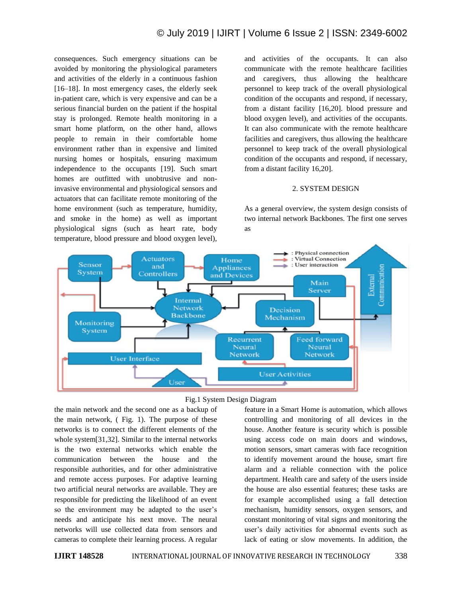consequences. Such emergency situations can be avoided by monitoring the physiological parameters and activities of the elderly in a continuous fashion [16–18]. In most emergency cases, the elderly seek in-patient care, which is very expensive and can be a serious financial burden on the patient if the hospital stay is prolonged. Remote health monitoring in a smart home platform, on the other hand, allows people to remain in their comfortable home environment rather than in expensive and limited nursing homes or hospitals, ensuring maximum independence to the occupants [19]. Such smart homes are outfitted with unobtrusive and noninvasive environmental and physiological sensors and actuators that can facilitate remote monitoring of the home environment (such as temperature, humidity, and smoke in the home) as well as important physiological signs (such as heart rate, body temperature, blood pressure and blood oxygen level), and activities of the occupants. It can also communicate with the remote healthcare facilities and caregivers, thus allowing the healthcare personnel to keep track of the overall physiological condition of the occupants and respond, if necessary, from a distant facility [16,20]. blood pressure and blood oxygen level), and activities of the occupants. It can also communicate with the remote healthcare facilities and caregivers, thus allowing the healthcare personnel to keep track of the overall physiological condition of the occupants and respond, if necessary, from a distant facility 16,20].

#### 2. SYSTEM DESIGN

As a general overview, the system design consists of two internal network Backbones. The first one serves as



Fig.1 System Design Diagram

the main network and the second one as a backup of the main network, ( Fig. 1). The purpose of these networks is to connect the different elements of the whole system[31,32]. Similar to the internal networks is the two external networks which enable the communication between the house and the responsible authorities, and for other administrative and remote access purposes. For adaptive learning two artificial neural networks are available. They are responsible for predicting the likelihood of an event so the environment may be adapted to the user's needs and anticipate his next move. The neural networks will use collected data from sensors and cameras to complete their learning process. A regular

feature in a Smart Home is automation, which allows controlling and monitoring of all devices in the house. Another feature is security which is possible using access code on main doors and windows, motion sensors, smart cameras with face recognition to identify movement around the house, smart fire alarm and a reliable connection with the police department. Health care and safety of the users inside the house are also essential features; these tasks are for example accomplished using a fall detection mechanism, humidity sensors, oxygen sensors, and constant monitoring of vital signs and monitoring the user's daily activities for abnormal events such as lack of eating or slow movements. In addition, the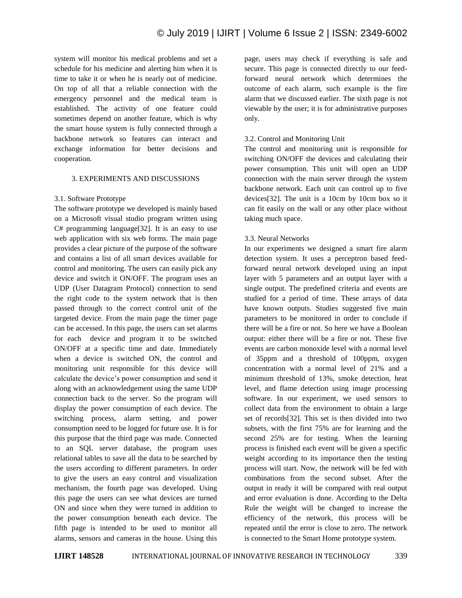system will monitor his medical problems and set a schedule for his medicine and alerting him when it is time to take it or when he is nearly out of medicine. On top of all that a reliable connection with the emergency personnel and the medical team is established. The activity of one feature could sometimes depend on another feature, which is why the smart house system is fully connected through a backbone network so features can interact and exchange information for better decisions and cooperation.

### 3. EXPERIMENTS AND DISCUSSIONS

### 3.1. Software Prototype

The software prototype we developed is mainly based on a Microsoft visual studio program written using C# programming language[32]. It is an easy to use web application with six web forms. The main page provides a clear picture of the purpose of the software and contains a list of all smart devices available for control and monitoring. The users can easily pick any device and switch it ON/OFF. The program uses an UDP (User Datagram Protocol) connection to send the right code to the system network that is then passed through to the correct control unit of the targeted device. From the main page the timer page can be accessed. In this page, the users can set alarms for each device and program it to be switched ON/OFF at a specific time and date. Immediately when a device is switched ON, the control and monitoring unit responsible for this device will calculate the device's power consumption and send it along with an acknowledgement using the same UDP connection back to the server. So the program will display the power consumption of each device. The switching process, alarm setting, and power consumption need to be logged for future use. It is for this purpose that the third page was made. Connected to an SQL server database, the program uses relational tables to save all the data to be searched by the users according to different parameters. In order to give the users an easy control and visualization mechanism, the fourth page was developed. Using this page the users can see what devices are turned ON and since when they were turned in addition to the power consumption beneath each device. The fifth page is intended to be used to monitor all alarms, sensors and cameras in the house. Using this page, users may check if everything is safe and secure. This page is connected directly to our feedforward neural network which determines the outcome of each alarm, such example is the fire alarm that we discussed earlier. The sixth page is not viewable by the user; it is for administrative purposes only.

# 3.2. Control and Monitoring Unit

The control and monitoring unit is responsible for switching ON/OFF the devices and calculating their power consumption. This unit will open an UDP connection with the main server through the system backbone network. Each unit can control up to five devices[32]. The unit is a 10cm by 10cm box so it can fit easily on the wall or any other place without taking much space.

# 3.3. Neural Networks

In our experiments we designed a smart fire alarm detection system. It uses a perceptron based feedforward neural network developed using an input layer with 5 parameters and an output layer with a single output. The predefined criteria and events are studied for a period of time. These arrays of data have known outputs. Studies suggested five main parameters to be monitored in order to conclude if there will be a fire or not. So here we have a Boolean output: either there will be a fire or not. These five events are carbon monoxide level with a normal level of 35ppm and a threshold of 100ppm, oxygen concentration with a normal level of 21% and a minimum threshold of 13%, smoke detection, heat level, and flame detection using image processing software. In our experiment, we used sensors to collect data from the environment to obtain a large set of records[32]. This set is then divided into two subsets, with the first 75% are for learning and the second 25% are for testing. When the learning process is finished each event will be given a specific weight according to its importance then the testing process will start. Now, the network will be fed with combinations from the second subset. After the output in ready it will be compared with real output and error evaluation is done. According to the Delta Rule the weight will be changed to increase the efficiency of the network, this process will be repeated until the error is close to zero. The network is connected to the Smart Home prototype system.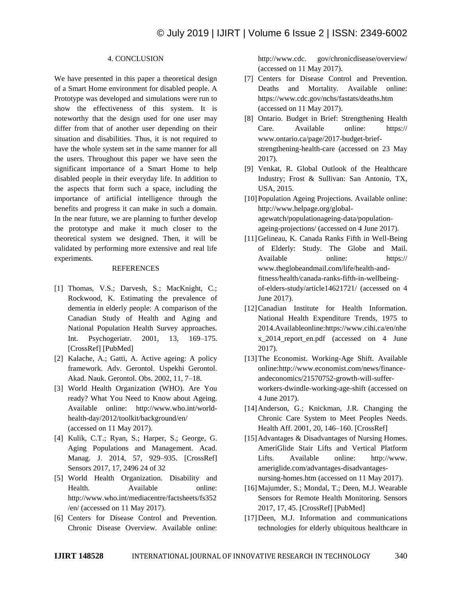## 4. CONCLUSION

We have presented in this paper a theoretical design of a Smart Home environment for disabled people. A Prototype was developed and simulations were run to show the effectiveness of this system. It is noteworthy that the design used for one user may differ from that of another user depending on their situation and disabilities. Thus, it is not required to have the whole system set in the same manner for all the users. Throughout this paper we have seen the significant importance of a Smart Home to help disabled people in their everyday life. In addition to the aspects that form such a space, including the importance of artificial intelligence through the benefits and progress it can make in such a domain. In the near future, we are planning to further develop the prototype and make it much closer to the theoretical system we designed. Then, it will be validated by performing more extensive and real life experiments.

#### **REFERENCES**

- [1] Thomas, V.S.; Darvesh, S.; MacKnight, C.; Rockwood, K. Estimating the prevalence of dementia in elderly people: A comparison of the Canadian Study of Health and Aging and National Population Health Survey approaches. Int. Psychogeriatr. 2001, 13, 169–175. [CrossRef] [PubMed]
- [2] Kalache, A.; Gatti, A. Active ageing: A policy framework. Adv. Gerontol. Uspekhi Gerontol. Akad. Nauk. Gerontol. Obs. 2002, 11, 7–18.
- [3] World Health Organization (WHO). Are You ready? What You Need to Know about Ageing. Available online: http://www.who.int/worldhealth-day/2012/toolkit/background/en/ (accessed on 11 May 2017).
- [4] Kulik, C.T.; Ryan, S.; Harper, S.; George, G. Aging Populations and Management. Acad. Manag. J. 2014, 57, 929–935. [CrossRef] Sensors 2017, 17, 2496 24 of 32
- [5] World Health Organization. Disability and Health. Available online: http://www.who.int/mediacentre/factsheets/fs352 /en/ (accessed on 11 May 2017).
- [6] Centers for Disease Control and Prevention. Chronic Disease Overview. Available online:

http://www.cdc. gov/chronicdisease/overview/ (accessed on 11 May 2017).

- [7] Centers for Disease Control and Prevention. Deaths and Mortality. Available online: https://www.cdc.gov/nchs/fastats/deaths.htm (accessed on 11 May 2017).
- [8] Ontario. Budget in Brief: Strengthening Health Care. Available online: https:// www.ontario.ca/page/2017-budget-briefstrengthening-health-care (accessed on 23 May 2017).
- [9] Venkat, R. Global Outlook of the Healthcare Industry; Frost & Sullivan: San Antonio, TX, USA, 2015.
- [10]Population Ageing Projections. Available online: http://www.helpage.org/globalagewatch/populationageing-data/populationageing-projections/ (accessed on 4 June 2017).
- [11]Gelineau, K. Canada Ranks Fifth in Well-Being of Elderly: Study. The Globe and Mail. Available online: https:// www.theglobeandmail.com/life/health-andfitness/health/canada-ranks-fifth-in-wellbeingof-elders-study/article14621721/ (accessed on 4 June 2017).
- [12] Canadian Institute for Health Information. National Health Expenditure Trends, 1975 to 2014.Availableonline:https://www.cihi.ca/en/nhe x\_2014\_report\_en.pdf (accessed on 4 June 2017).
- [13]The Economist. Working-Age Shift. Available online:http://www.economist.com/news/financeandeconomics/21570752-growth-will-sufferworkers-dwindle-working-age-shift (accessed on 4 June 2017).
- [14] Anderson, G.; Knickman, J.R. Changing the Chronic Care System to Meet Peoples Needs. Health Aff. 2001, 20, 146–160. [CrossRef]
- [15] Advantages & Disadvantages of Nursing Homes. AmeriGlide Stair Lifts and Vertical Platform Lifts. Available online: http://www. ameriglide.com/advantages-disadvantagesnursing-homes.htm (accessed on 11 May 2017).
- [16]Majumder, S.; Mondal, T.; Deen, M.J. Wearable Sensors for Remote Health Monitoring. Sensors 2017, 17, 45. [CrossRef] [PubMed]
- [17]Deen, M.J. Information and communications technologies for elderly ubiquitous healthcare in